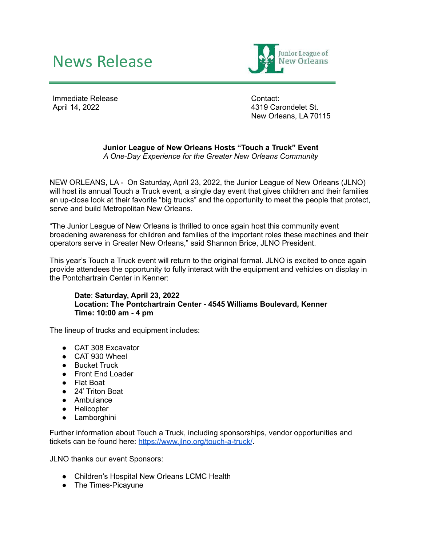## News Release



Immediate Release April 14, 2022

Contact: 4319 Carondelet St. New Orleans, LA 70115

## **Junior League of New Orleans Hosts "Touch a Truck" Event** *A One-Day Experience for the Greater New Orleans Community*

NEW ORLEANS, LA - On Saturday, April 23, 2022, the Junior League of New Orleans (JLNO) will host its annual Touch a Truck event, a single day event that gives children and their families an up-close look at their favorite "big trucks" and the opportunity to meet the people that protect, serve and build Metropolitan New Orleans.

"The Junior League of New Orleans is thrilled to once again host this community event broadening awareness for children and families of the important roles these machines and their operators serve in Greater New Orleans," said Shannon Brice, JLNO President.

This year's Touch a Truck event will return to the original formal. JLNO is excited to once again provide attendees the opportunity to fully interact with the equipment and vehicles on display in the Pontchartrain Center in Kenner:

## **Date**: **Saturday, April 23, 2022 Location: The Pontchartrain Center - 4545 Williams Boulevard, Kenner Time: 10:00 am - 4 pm**

The lineup of trucks and equipment includes:

- CAT 308 Excavator
- CAT 930 Wheel
- Bucket Truck
- Front End Loader
- Flat Boat
- 24' Triton Boat
- Ambulance
- Helicopter
- Lamborghini

Further information about Touch a Truck, including sponsorships, vendor opportunities and tickets can be found here: <https://www.jlno.org/touch-a-truck/>.

JLNO thanks our event Sponsors:

- Children's Hospital New Orleans LCMC Health
- The Times-Picayune